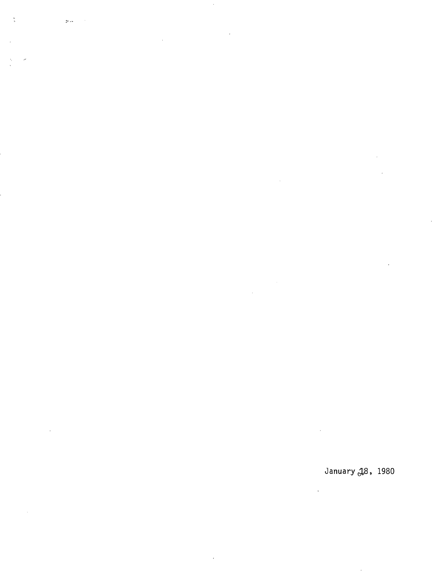$\frac{1}{2}$  $\gamma_{\rm P}$  .

l.

## January 18, 1980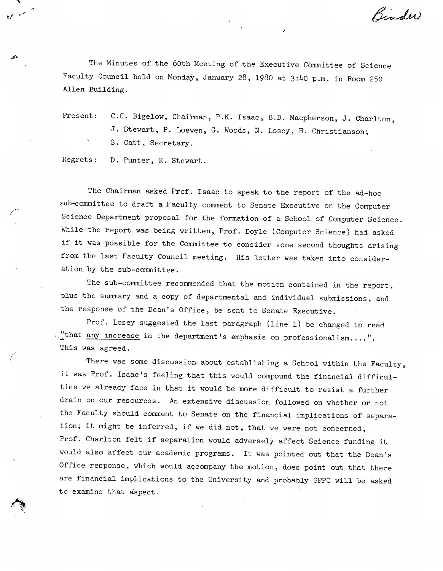Binder

The Minutes of the 60th Meeting of the Executive Committee of Science Faculty Council held on Monday, January 28, 1980 at 3:40 p.m. in Room 250 Allen Building.

Present: C.C. Bigelow, Chairman, P.K. Isaac, B.D. Macpherson, J. Charlton, J. Stewart, P. Loewen, G. Woods, N. Losey, H. Christianson; S. Catt, Secretary.

Regrets: D. Punter, K. Stewart.

میں سے معروفا

The Chairman asked Prof. Isaac to speak to the report of the ad-hoc sub-committee to draft a Faculty comment to Senate Executive on the Computer Science Department proposal for the formation of a School of Computer Science. While the report was being written, Prof. Doyle (Computer Science) had asked if it was possible for the Committee to consider some second thoughts arising from the last Faculty Council meeting. His letter was taken into consideration by the sub-committee.

The sub-committee recommended that the motion contained in the report, plus the summary and a copy of departmental and individual submissions, and the response of the Dean's Office, be sent to Senate Executive.

Prof. Losey suggested the last paragraph (line 1) be changed to read .."that <u>any increase</u> in the department's emphasis on professionalism....". This was agreed.

There was some discussion about establishing a School within the Faculty, it was Prof. Isaac's feeling that this would compound the financial difficulties we already face in that it would be more difficult to resist a further drain on our resources. An extensive discussion followed on whether or not the Faculty should comment to Senate on the financial implications of separation; it might be inferred, if we did not, that we were not concerned; Prof. Charlton felt if separation would adversely affect Science funding it would also affect our academic programs. It was pointed out that the Dean's Office response, which would accompany the motion, does point out that there are financial implications to the University and probably SPPC will be asked to examine that äspect.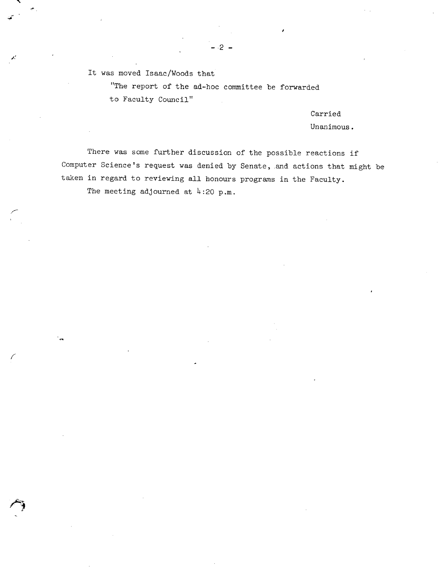It was moved Isaac/Woods that

"The report of the ad-hoc committee be forwarded to Faculty Council"

-2-

Carried

**I** 

Unanimous.

There was some further discussion of the possible reactions if Computer Science's request was denied by Senate, and actions that might be taken in regard to reviewing all honours programs in the Faculty.

The meeting adjourned at  $4:20$  p.m.

**FA**